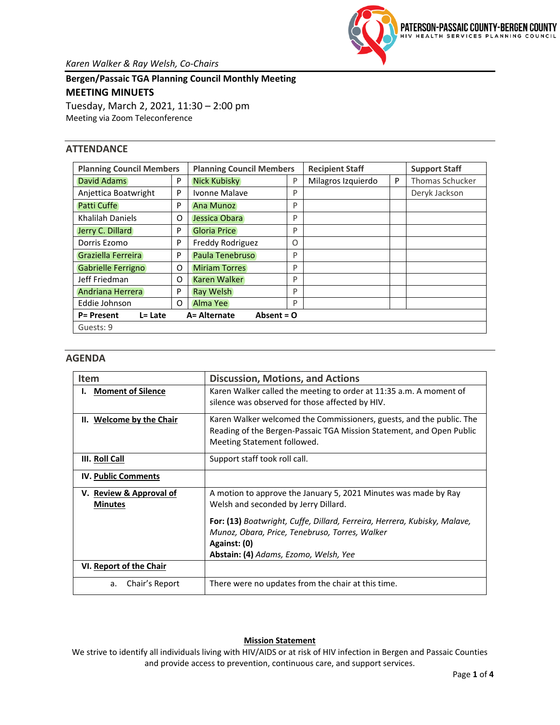

*Karen Walker & Ray Welsh, Co-Chairs*

**Bergen/Passaic TGA Planning Council Monthly Meeting MEETING MINUETS** Tuesday, March 2, 2021, 11:30 – 2:00 pm Meeting via Zoom Teleconference

# **ATTENDANCE**

| <b>Planning Council Members</b>                                 | <b>Planning Council Members</b> | <b>Recipient Staff</b> | <b>Support Staff</b> |                    |   |                        |  |  |
|-----------------------------------------------------------------|---------------------------------|------------------------|----------------------|--------------------|---|------------------------|--|--|
| David Adams<br>P                                                |                                 | <b>Nick Kubisky</b>    |                      | Milagros Izquierdo | P | <b>Thomas Schucker</b> |  |  |
| Anjettica Boatwright                                            | P                               | Ivonne Malave          | P                    |                    |   | Deryk Jackson          |  |  |
| Patti Cuffe                                                     | P                               | Ana Munoz              | P                    |                    |   |                        |  |  |
| Khalilah Daniels                                                | O                               | Jessica Obara          | P                    |                    |   |                        |  |  |
| Jerry C. Dillard<br>P                                           |                                 | <b>Gloria Price</b>    | P                    |                    |   |                        |  |  |
| Dorris Ezomo                                                    |                                 | Freddy Rodriguez       |                      |                    |   |                        |  |  |
| Graziella Ferreira<br>P                                         |                                 | Paula Tenebruso        |                      |                    |   |                        |  |  |
| Gabrielle Ferrigno                                              | O                               | <b>Miriam Torres</b>   |                      |                    |   |                        |  |  |
| Jeff Friedman<br>O                                              |                                 | Karen Walker           | P                    |                    |   |                        |  |  |
| Andriana Herrera                                                |                                 | <b>Ray Welsh</b>       |                      |                    |   |                        |  |  |
| Eddie Johnson<br>O                                              |                                 | Alma Yee               |                      |                    |   |                        |  |  |
| A= Alternate<br>Absent = $O$<br><b>P= Present</b><br>$L = Late$ |                                 |                        |                      |                    |   |                        |  |  |
| Guests: 9                                                       |                                 |                        |                      |                    |   |                        |  |  |

## **AGENDA**

| Item                                      | <b>Discussion, Motions, and Actions</b>                                                                                                                                              |
|-------------------------------------------|--------------------------------------------------------------------------------------------------------------------------------------------------------------------------------------|
| <b>Moment of Silence</b>                  | Karen Walker called the meeting to order at 11:35 a.m. A moment of<br>silence was observed for those affected by HIV.                                                                |
| II. Welcome by the Chair                  | Karen Walker welcomed the Commissioners, guests, and the public. The<br>Reading of the Bergen-Passaic TGA Mission Statement, and Open Public<br>Meeting Statement followed.          |
| III. Roll Call                            | Support staff took roll call.                                                                                                                                                        |
| <b>IV. Public Comments</b>                |                                                                                                                                                                                      |
| V. Review & Approval of<br><b>Minutes</b> | A motion to approve the January 5, 2021 Minutes was made by Ray<br>Welsh and seconded by Jerry Dillard.                                                                              |
|                                           | For: (13) Boatwright, Cuffe, Dillard, Ferreira, Herrera, Kubisky, Malave,<br>Munoz, Obara, Price, Tenebruso, Torres, Walker<br>Against: (0)<br>Abstain: (4) Adams, Ezomo, Welsh, Yee |
| VI. Report of the Chair                   |                                                                                                                                                                                      |
| Chair's Report<br>a.                      | There were no updates from the chair at this time.                                                                                                                                   |

## **Mission Statement**

We strive to identify all individuals living with HIV/AIDS or at risk of HIV infection in Bergen and Passaic Counties and provide access to prevention, continuous care, and support services.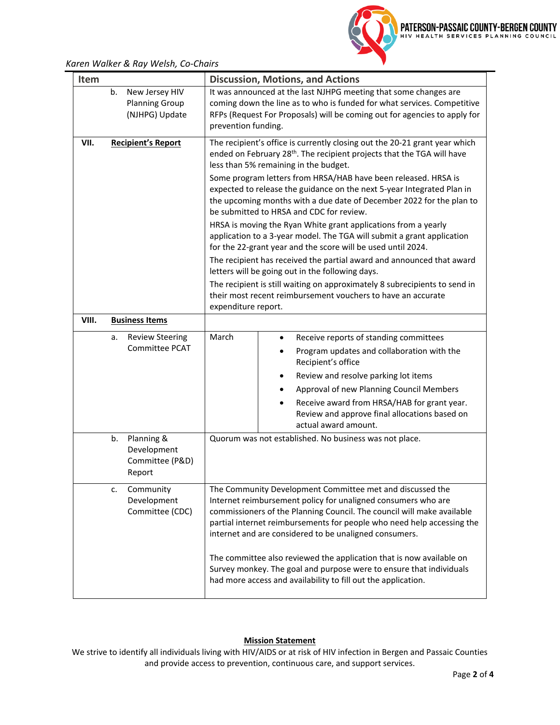PATERSON-PASSAIC COUNTY-BERGEN COUNTY

*Karen Walker & Ray Welsh, Co-Chairs*

| <b>Item</b> |    |                                                           |                                                                                                                                                                                                                                                                                                                                          | <b>Discussion, Motions, and Actions</b>                                                                                                                          |  |  |  |  |  |
|-------------|----|-----------------------------------------------------------|------------------------------------------------------------------------------------------------------------------------------------------------------------------------------------------------------------------------------------------------------------------------------------------------------------------------------------------|------------------------------------------------------------------------------------------------------------------------------------------------------------------|--|--|--|--|--|
|             | b. | New Jersey HIV<br><b>Planning Group</b><br>(NJHPG) Update | It was announced at the last NJHPG meeting that some changes are<br>coming down the line as to who is funded for what services. Competitive<br>RFPs (Request For Proposals) will be coming out for agencies to apply for<br>prevention funding.                                                                                          |                                                                                                                                                                  |  |  |  |  |  |
| VII.        |    | <b>Recipient's Report</b>                                 | The recipient's office is currently closing out the 20-21 grant year which<br>ended on February 28 <sup>th</sup> . The recipient projects that the TGA will have<br>less than 5% remaining in the budget.<br>Some program letters from HRSA/HAB have been released. HRSA is                                                              |                                                                                                                                                                  |  |  |  |  |  |
|             |    |                                                           | expected to release the guidance on the next 5-year Integrated Plan in<br>the upcoming months with a due date of December 2022 for the plan to<br>be submitted to HRSA and CDC for review.                                                                                                                                               |                                                                                                                                                                  |  |  |  |  |  |
|             |    |                                                           | HRSA is moving the Ryan White grant applications from a yearly<br>application to a 3-year model. The TGA will submit a grant application<br>for the 22-grant year and the score will be used until 2024.                                                                                                                                 |                                                                                                                                                                  |  |  |  |  |  |
|             |    |                                                           | The recipient has received the partial award and announced that award<br>letters will be going out in the following days.                                                                                                                                                                                                                |                                                                                                                                                                  |  |  |  |  |  |
|             |    |                                                           | The recipient is still waiting on approximately 8 subrecipients to send in<br>their most recent reimbursement vouchers to have an accurate<br>expenditure report.                                                                                                                                                                        |                                                                                                                                                                  |  |  |  |  |  |
| VIII.       |    | <b>Business Items</b>                                     |                                                                                                                                                                                                                                                                                                                                          |                                                                                                                                                                  |  |  |  |  |  |
|             | a. | <b>Review Steering</b><br><b>Committee PCAT</b>           | March                                                                                                                                                                                                                                                                                                                                    | Receive reports of standing committees<br>Program updates and collaboration with the<br>Recipient's office<br>Review and resolve parking lot items               |  |  |  |  |  |
|             |    |                                                           |                                                                                                                                                                                                                                                                                                                                          | Approval of new Planning Council Members<br>Receive award from HRSA/HAB for grant year.<br>Review and approve final allocations based on<br>actual award amount. |  |  |  |  |  |
|             | b. | Planning &<br>Development<br>Committee (P&D)<br>Report    | Quorum was not established. No business was not place.                                                                                                                                                                                                                                                                                   |                                                                                                                                                                  |  |  |  |  |  |
|             | c. | Community<br>Development<br>Committee (CDC)               | The Community Development Committee met and discussed the<br>Internet reimbursement policy for unaligned consumers who are<br>commissioners of the Planning Council. The council will make available<br>partial internet reimbursements for people who need help accessing the<br>internet and are considered to be unaligned consumers. |                                                                                                                                                                  |  |  |  |  |  |
|             |    |                                                           | The committee also reviewed the application that is now available on<br>Survey monkey. The goal and purpose were to ensure that individuals<br>had more access and availability to fill out the application.                                                                                                                             |                                                                                                                                                                  |  |  |  |  |  |

#### **Mission Statement**

We strive to identify all individuals living with HIV/AIDS or at risk of HIV infection in Bergen and Passaic Counties and provide access to prevention, continuous care, and support services.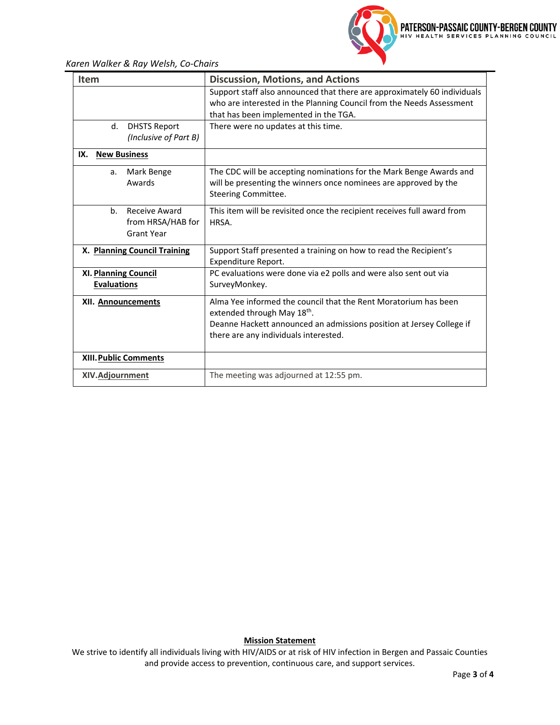*Karen Walker & Ray Welsh, Co-Chairs*

| <b>Item</b>                                                               | <b>Discussion, Motions, and Actions</b>                                                                                                                                                                        |  |  |  |  |  |
|---------------------------------------------------------------------------|----------------------------------------------------------------------------------------------------------------------------------------------------------------------------------------------------------------|--|--|--|--|--|
|                                                                           | Support staff also announced that there are approximately 60 individuals<br>who are interested in the Planning Council from the Needs Assessment<br>that has been implemented in the TGA.                      |  |  |  |  |  |
| <b>DHSTS Report</b><br>d.<br>(Inclusive of Part B)                        | There were no updates at this time.                                                                                                                                                                            |  |  |  |  |  |
| IX.<br><b>New Business</b>                                                |                                                                                                                                                                                                                |  |  |  |  |  |
| Mark Benge<br>a.<br>Awards                                                | The CDC will be accepting nominations for the Mark Benge Awards and<br>will be presenting the winners once nominees are approved by the<br>Steering Committee.                                                 |  |  |  |  |  |
| b <sub>1</sub><br>Receive Award<br>from HRSA/HAB for<br><b>Grant Year</b> | This item will be revisited once the recipient receives full award from<br>HRSA.                                                                                                                               |  |  |  |  |  |
| X. Planning Council Training                                              | Support Staff presented a training on how to read the Recipient's<br>Expenditure Report.                                                                                                                       |  |  |  |  |  |
| <b>XI. Planning Council</b><br><b>Evaluations</b>                         | PC evaluations were done via e2 polls and were also sent out via<br>SurveyMonkey.                                                                                                                              |  |  |  |  |  |
| XII. Announcements                                                        | Alma Yee informed the council that the Rent Moratorium has been<br>extended through May 18th.<br>Deanne Hackett announced an admissions position at Jersey College if<br>there are any individuals interested. |  |  |  |  |  |
| XIII. Public Comments                                                     |                                                                                                                                                                                                                |  |  |  |  |  |
| <b>XIV.Adjournment</b>                                                    | The meeting was adjourned at 12:55 pm.                                                                                                                                                                         |  |  |  |  |  |

## **Mission Statement**

We strive to identify all individuals living with HIV/AIDS or at risk of HIV infection in Bergen and Passaic Counties and provide access to prevention, continuous care, and support services.

PATERSON-PASSAIC COUNTY-BERGEN COUNTY